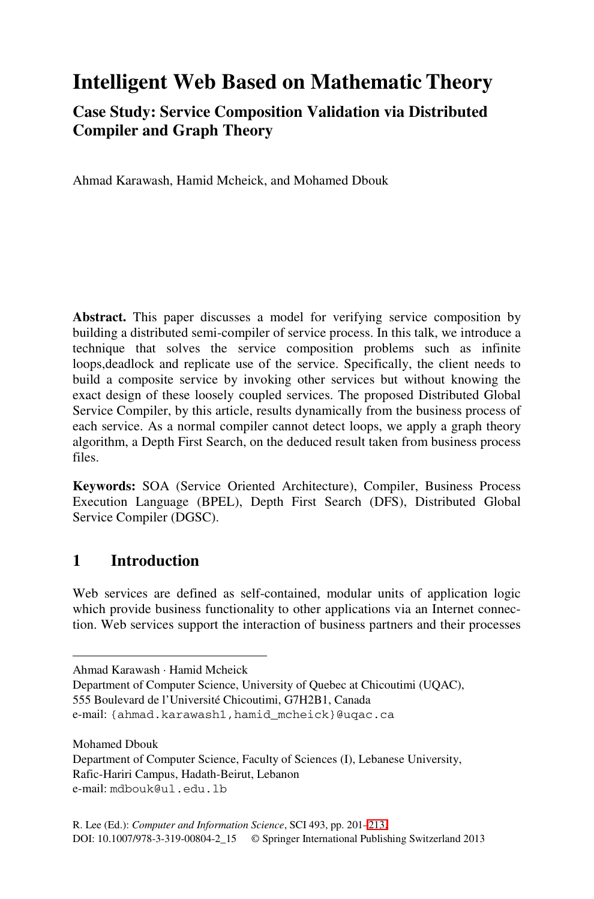# **Intelligent Web Based on Mathematic Theory**

# **Case Study: Service Composition Validation via Distributed Compiler and Graph Theory**

Ahmad Karawash, Hamid Mcheick, and Mohamed Dbouk

**Abstract.** This paper discusses a model for verifying service composition by building a distributed semi-compiler of service process. In this talk, we introduce a technique that solves the service composition problems such as infinite loops,deadlock and replicate use of the service. Specifically, the client needs to build a composite service by invoking other services but without knowing the exact design of these loosely coupled services. The proposed Distributed Global Service Compiler, by this article, results dynamically from the business process of each service. As a normal compiler cannot detect loops, we apply a graph theory algorithm, a Depth First Search, on the deduced result taken from business process files.

**Keywords:** SOA (Service Oriented Architecture), Compiler, Business Process Execution Language (BPEL), Depth First Search (DFS), Distributed Global Service Compiler (DGSC).

# **1 Introduction**

Web services are defined as self-contained, modular units of application logic which provide business functionality to other applications via an Internet connection. Web services support the interaction of business partners and their processes

- Department of Computer Science, University of Quebec at Chicoutimi (UQAC), 555 Boulevard de l'Université Chicout[imi,](#page-12-0) G7H2B1, Canada e-mail: {ahmad.karawash1,hamid\_mcheick}@uqac.ca
- Mohamed Dbouk

-

Ahmad Karawash · Hamid Mcheick

Department of Computer Science, Faculty of Sciences (I), Lebanese University, Rafic-Hariri Campus, Hadath-Beirut, Lebanon e-mail: mdbouk@ul.edu.lb

R. Lee (Ed.): *Computer and Information Science*, SCI 493, pp. 201–213. DOI: 10.1007/978-3-319-00804-2\_15 © Springer International Publishing Switzerland 2013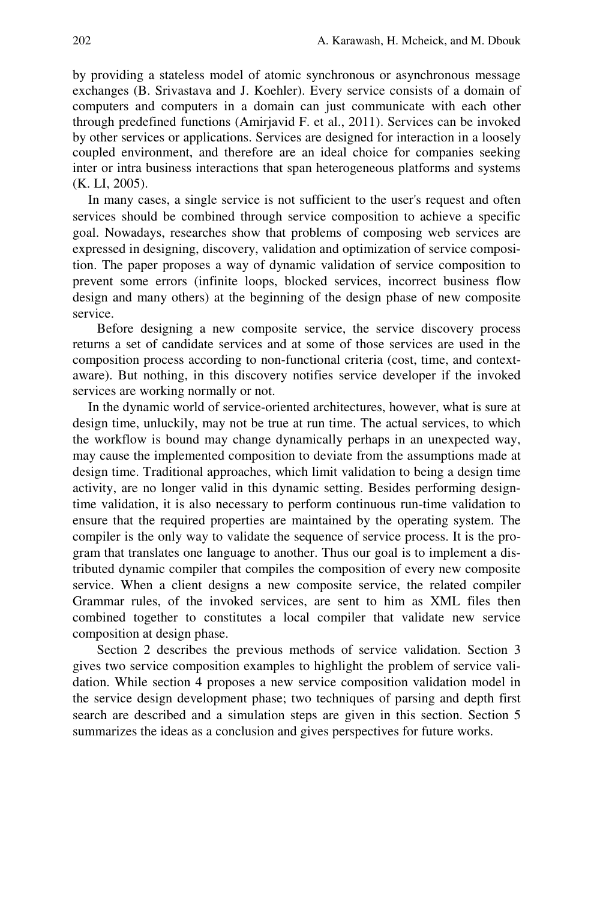by providing a stateless model of atomic synchronous or asynchronous message exchanges (B. Srivastava and J. Koehler). Every service consists of a domain of computers and computers in a domain can just communicate with each other through predefined functions (Amirjavid F. et al., 2011). Services can be invoked by other services or applications. Services are designed for interaction in a loosely coupled environment, and therefore are an ideal choice for companies seeking inter or intra business interactions that span heterogeneous platforms and systems (K. LI, 2005).

In many cases, a single service is not sufficient to the user's request and often services should be combined through service composition to achieve a specific goal. Nowadays, researches show that problems of composing web services are expressed in designing, discovery, validation and optimization of service composition. The paper proposes a way of dynamic validation of service composition to prevent some errors (infinite loops, blocked services, incorrect business flow design and many others) at the beginning of the design phase of new composite service.

Before designing a new composite service, the service discovery process returns a set of candidate services and at some of those services are used in the composition process according to non-functional criteria (cost, time, and contextaware). But nothing, in this discovery notifies service developer if the invoked services are working normally or not.

In the dynamic world of service-oriented architectures, however, what is sure at design time, unluckily, may not be true at run time. The actual services, to which the workflow is bound may change dynamically perhaps in an unexpected way, may cause the implemented composition to deviate from the assumptions made at design time. Traditional approaches, which limit validation to being a design time activity, are no longer valid in this dynamic setting. Besides performing designtime validation, it is also necessary to perform continuous run-time validation to ensure that the required properties are maintained by the operating system. The compiler is the only way to validate the sequence of service process. It is the program that translates one language to another. Thus our goal is to implement a distributed dynamic compiler that compiles the composition of every new composite service. When a client designs a new composite service, the related compiler Grammar rules, of the invoked services, are sent to him as XML files then combined together to constitutes a local compiler that validate new service composition at design phase.

Section 2 describes the previous methods of service validation. Section 3 gives two service composition examples to highlight the problem of service validation. While section 4 proposes a new service composition validation model in the service design development phase; two techniques of parsing and depth first search are described and a simulation steps are given in this section. Section 5 summarizes the ideas as a conclusion and gives perspectives for future works.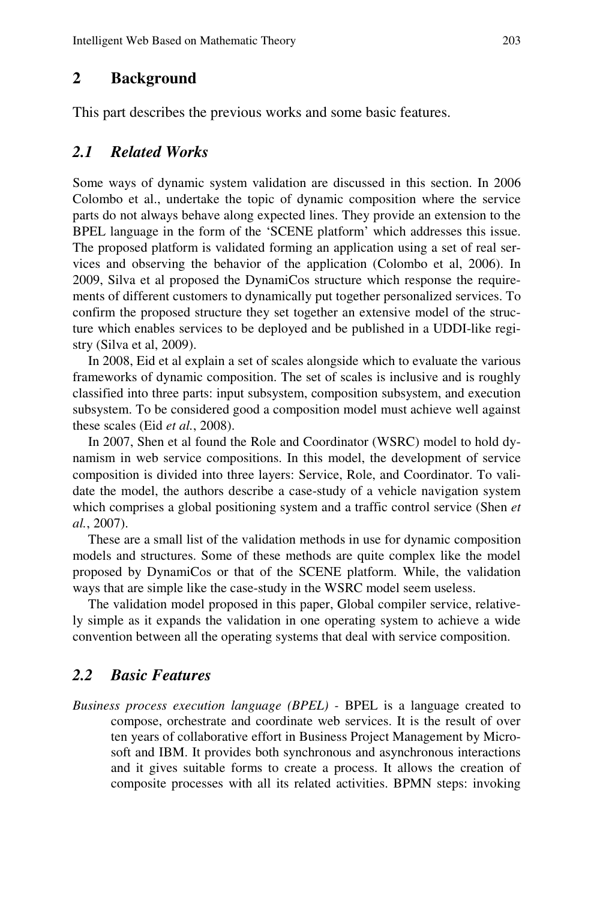## **2 Background**

This part describes the previous works and some basic features.

## *2.1 Related Works*

Some ways of dynamic system validation are discussed in this section. In 2006 Colombo et al., undertake the topic of dynamic composition where the service parts do not always behave along expected lines. They provide an extension to the BPEL language in the form of the 'SCENE platform' which addresses this issue. The proposed platform is validated forming an application using a set of real services and observing the behavior of the application (Colombo et al, 2006). In 2009, Silva et al proposed the DynamiCos structure which response the requirements of different customers to dynamically put together personalized services. To confirm the proposed structure they set together an extensive model of the structure which enables services to be deployed and be published in a UDDI-like registry (Silva et al, 2009).

In 2008, Eid et al explain a set of scales alongside which to evaluate the various frameworks of dynamic composition. The set of scales is inclusive and is roughly classified into three parts: input subsystem, composition subsystem, and execution subsystem. To be considered good a composition model must achieve well against these scales (Eid *et al.*, 2008).

In 2007, Shen et al found the Role and Coordinator (WSRC) model to hold dynamism in web service compositions. In this model, the development of service composition is divided into three layers: Service, Role, and Coordinator. To validate the model, the authors describe a case-study of a vehicle navigation system which comprises a global positioning system and a traffic control service (Shen *et al.*, 2007).

These are a small list of the validation methods in use for dynamic composition models and structures. Some of these methods are quite complex like the model proposed by DynamiCos or that of the SCENE platform. While, the validation ways that are simple like the case-study in the WSRC model seem useless.

The validation model proposed in this paper, Global compiler service, relatively simple as it expands the validation in one operating system to achieve a wide convention between all the operating systems that deal with service composition.

# *2.2 Basic Features*

*Business process execution language (BPEL) -* BPEL is a language created to compose, orchestrate and coordinate web services. It is the result of over ten years of collaborative effort in Business Project Management by Microsoft and IBM. It provides both synchronous and asynchronous interactions and it gives suitable forms to create a process. It allows the creation of composite processes with all its related activities. BPMN steps: invoking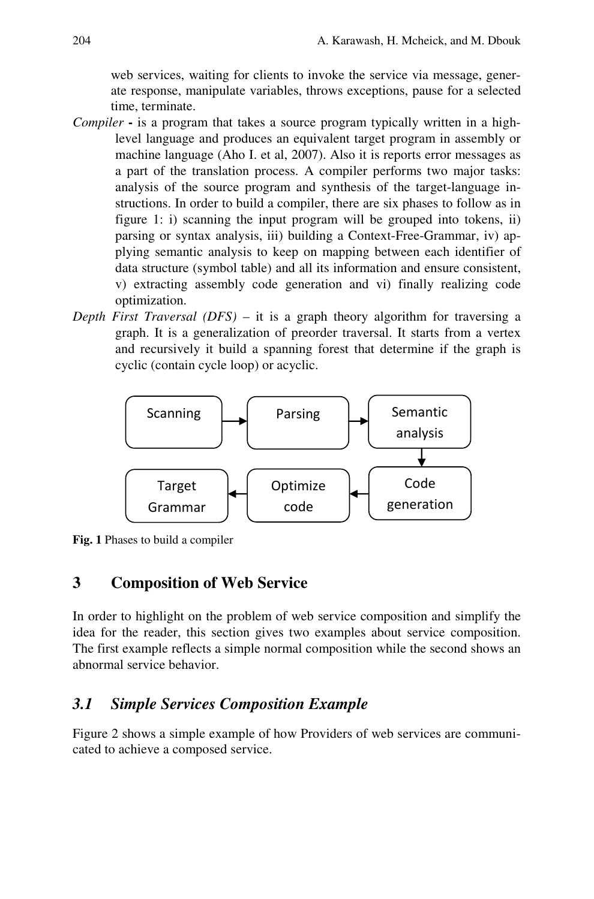web services, waiting for clients to invoke the service via message, generate response, manipulate variables, throws exceptions, pause for a selected time, terminate.

- *Compiler* is a program that takes a source program typically written in a highlevel language and produces an equivalent target program in assembly or machine language (Aho I. et al, 2007). Also it is reports error messages as a part of the translation process. A compiler performs two major tasks: analysis of the source program and synthesis of the target-language instructions. In order to build a compiler, there are six phases to follow as in figure 1: i) scanning the input program will be grouped into tokens, ii) parsing or syntax analysis, iii) building a Context-Free-Grammar, iv) applying semantic analysis to keep on mapping between each identifier of data structure (symbol table) and all its information and ensure consistent, v) extracting assembly code generation and vi) finally realizing code optimization.
- *Depth First Traversal (DFS)* it is a graph theory algorithm for traversing a graph. It is a generalization of preorder traversal. It starts from a vertex and recursively it build a spanning forest that determine if the graph is cyclic (contain cycle loop) or acyclic.



**Fig. 1** Phases to build a compiler

# **3 Composition of Web Service**

In order to highlight on the problem of web service composition and simplify the idea for the reader, this section gives two examples about service composition. The first example reflects a simple normal composition while the second shows an abnormal service behavior.

## *3.1 Simple Services Composition Example*

Figure 2 shows a simple example of how Providers of web services are communicated to achieve a composed service.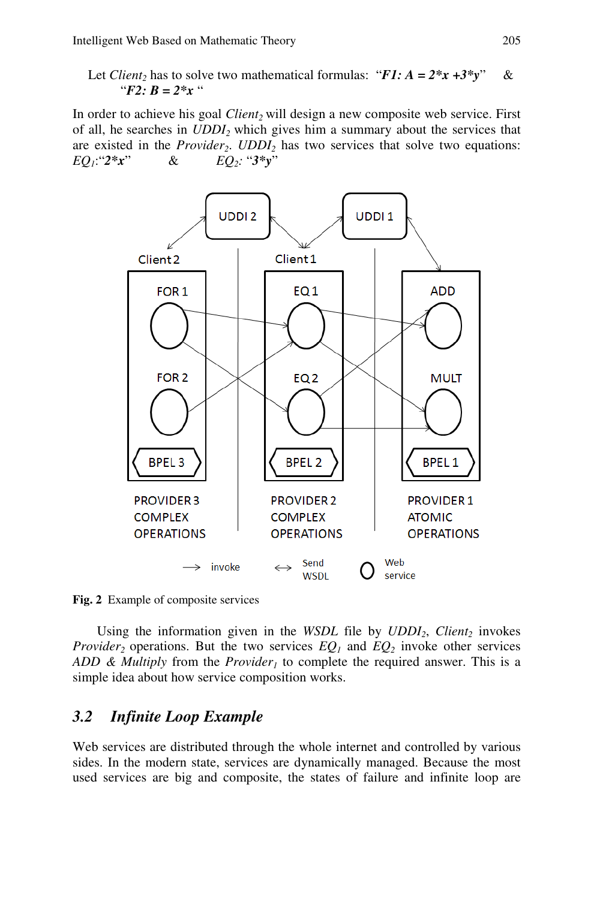Let *Client*<sub>2</sub> has to solve two mathematical formulas: " $FI: A = 2*x + 3*y$ " & " $F2: B = 2*x$ "

In order to achieve his goal *Client*<sub>2</sub> will design a new composite web service. First of all, he searches in *UDDI2* which gives him a summary about the services that are existed in the *Provider<sub>2</sub>*. *UDDI*<sub>2</sub> has two services that solve two equations: *EQ1*:"*2\*x*" & *EQ2:* "*3\*y*"



**Fig. 2** Example of composite services

Using the information given in the *WSDL* file by  $UDDI_2$ , *Client*<sub>2</sub> invokes *Provider<sub>2</sub>* operations. But the two services  $EQ<sub>1</sub>$  and  $EQ<sub>2</sub>$  invoke other services *ADD & Multiply* from the *Provider<sub>1</sub>* to complete the required answer. This is a simple idea about how service composition works.

# *3.2 Infinite Loop Example*

Web services are distributed through the whole internet and controlled by various sides. In the modern state, services are dynamically managed. Because the most used services are big and composite, the states of failure and infinite loop are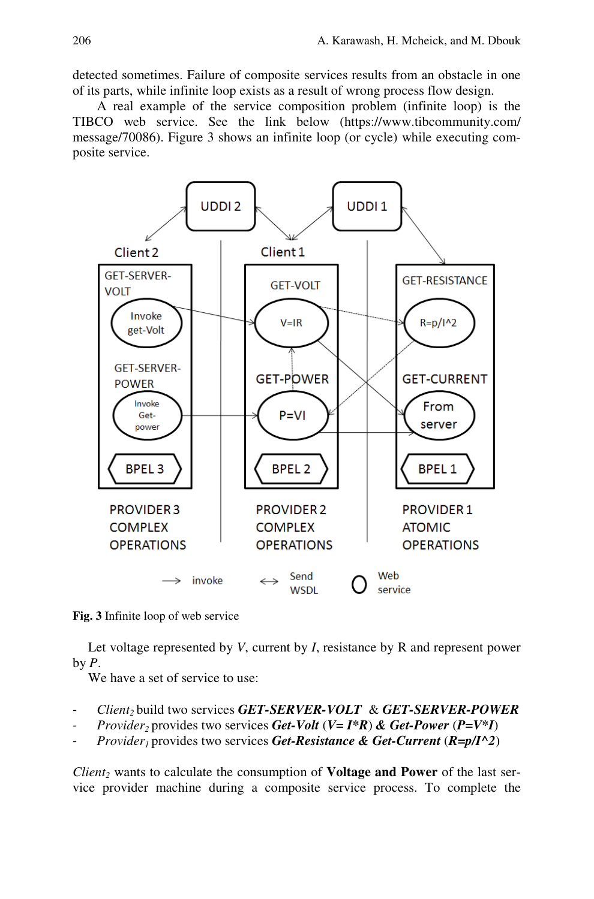detected sometimes. Failure of composite services results from an obstacle in one of its parts, while infinite loop exists as a result of wrong process flow design.

A real example of the service composition problem (infinite loop) is the TIBCO web service. See the link below (https://www.tibcommunity.com/ message/70086). Figure 3 shows an infinite loop (or cycle) while executing composite service.



**Fig. 3** Infinite loop of web service

Let voltage represented by *V*, current by *I*, resistance by R and represent power by *P*.

We have a set of service to use:

- *Client*<sub>2</sub> build two services *GET-SERVER-VOLT & GET-SERVER-POWER*
- *Provider*<sub>2</sub> provides two services *Get-Volt*  $(V= I^*R)$  & *Get-Power*  $(P=V^*I)$
- *Provider<sub>1</sub>* provides two services *Get-Resistance & Get-Current*  $(R=p/I^2)$

*Client*<sub>2</sub> wants to calculate the consumption of **Voltage and Power** of the last service provider machine during a composite service process. To complete the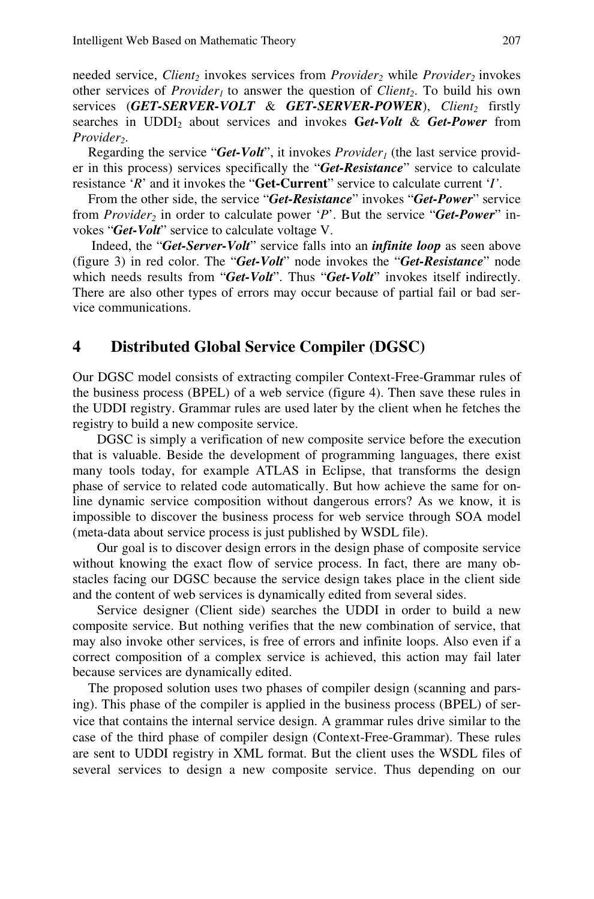needed service, *Client*<sub>2</sub> invokes services from *Provider*<sub>2</sub> while *Provider*<sub>2</sub> invokes other services of *Provider<sub>1</sub>* to answer the question of *Client*<sub>2</sub>. To build his own services (*GET-SERVER-VOLT & GET-SERVER-POWER*), *Client*<sub>2</sub> firstly searches in UDDI2 about services and invokes **G***et-Volt* & *Get-Power* from *Provider<sub>2</sub>.* 

Regarding the service "*Get-Volt*", it invokes *Provider<sub>1</sub>* (the last service provider in this process) services specifically the "*Get-Resistance*" service to calculate resistance '*R*' and it invokes the "**Get-Current**" service to calculate current '*I'*.

From the other side, the service "*Get-Resistance*" invokes "*Get-Power*" service from *Provider2* in order to calculate power '*P*'. But the service "*Get-Power*" invokes "*Get-Volt*" service to calculate voltage V.

 Indeed, the "*Get-Server-Volt*" service falls into an *infinite loop* as seen above (figure 3) in red color. The "*Get-Volt*" node invokes the "*Get-Resistance*" node which needs results from "*Get-Volt*". Thus "*Get-Volt*" invokes itself indirectly. There are also other types of errors may occur because of partial fail or bad service communications.

## **4 Distributed Global Service Compiler (DGSC)**

Our DGSC model consists of extracting compiler Context-Free-Grammar rules of the business process (BPEL) of a web service (figure 4). Then save these rules in the UDDI registry. Grammar rules are used later by the client when he fetches the registry to build a new composite service.

DGSC is simply a verification of new composite service before the execution that is valuable. Beside the development of programming languages, there exist many tools today, for example ATLAS in Eclipse, that transforms the design phase of service to related code automatically. But how achieve the same for online dynamic service composition without dangerous errors? As we know, it is impossible to discover the business process for web service through SOA model (meta-data about service process is just published by WSDL file).

Our goal is to discover design errors in the design phase of composite service without knowing the exact flow of service process. In fact, there are many obstacles facing our DGSC because the service design takes place in the client side and the content of web services is dynamically edited from several sides.

Service designer (Client side) searches the UDDI in order to build a new composite service. But nothing verifies that the new combination of service, that may also invoke other services, is free of errors and infinite loops. Also even if a correct composition of a complex service is achieved, this action may fail later because services are dynamically edited.

The proposed solution uses two phases of compiler design (scanning and parsing). This phase of the compiler is applied in the business process (BPEL) of service that contains the internal service design. A grammar rules drive similar to the case of the third phase of compiler design (Context-Free-Grammar). These rules are sent to UDDI registry in XML format. But the client uses the WSDL files of several services to design a new composite service. Thus depending on our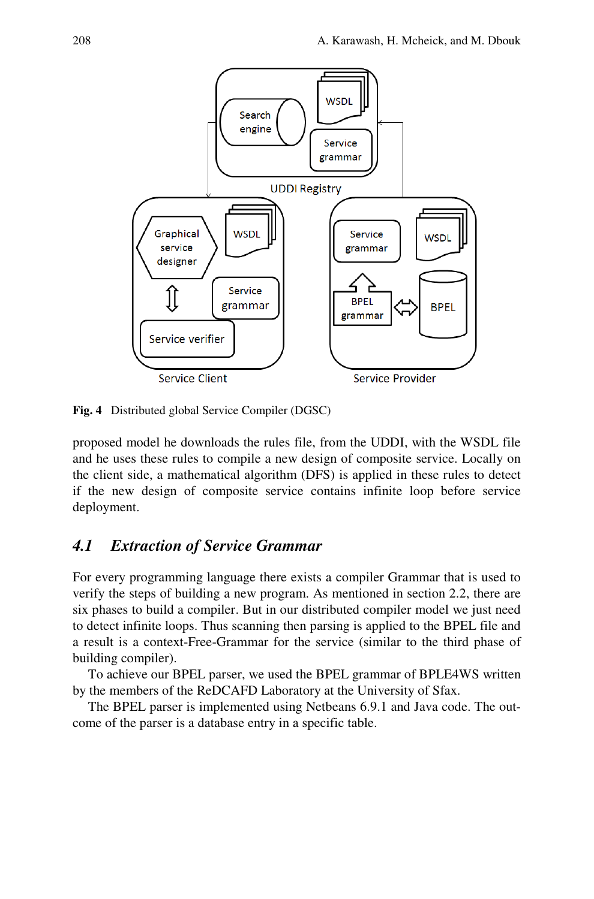

**Fig. 4** Distributed global Service Compiler (DGSC)

proposed model he downloads the rules file, from the UDDI, with the WSDL file and he uses these rules to compile a new design of composite service. Locally on the client side, a mathematical algorithm (DFS) is applied in these rules to detect if the new design of composite service contains infinite loop before service deployment.

# *4.1 Extraction of Service Grammar*

For every programming language there exists a compiler Grammar that is used to verify the steps of building a new program. As mentioned in section 2.2, there are six phases to build a compiler. But in our distributed compiler model we just need to detect infinite loops. Thus scanning then parsing is applied to the BPEL file and a result is a context-Free-Grammar for the service (similar to the third phase of building compiler).

To achieve our BPEL parser, we used the BPEL grammar of BPLE4WS written by the members of the ReDCAFD Laboratory at the University of Sfax.

The BPEL parser is implemented using Netbeans 6.9.1 and Java code. The outcome of the parser is a database entry in a specific table.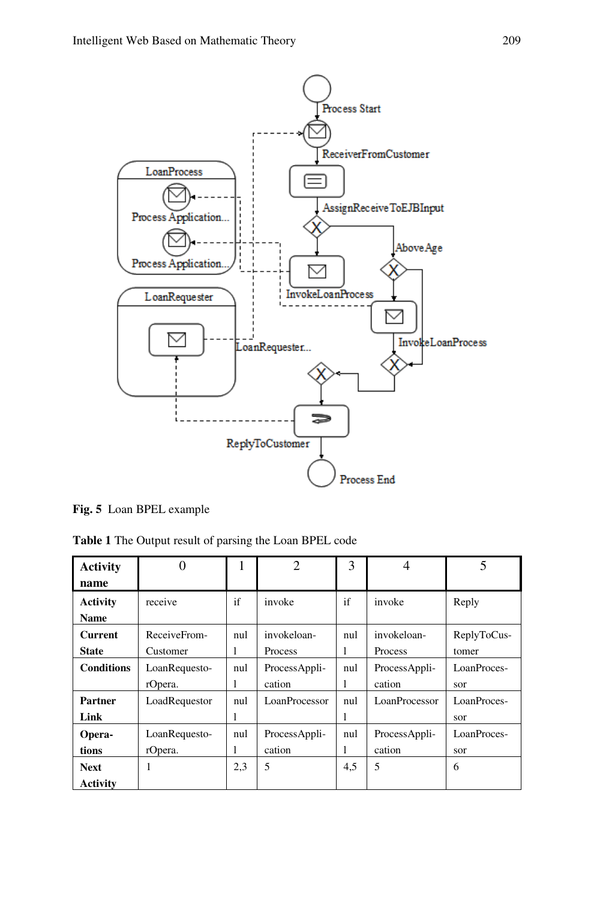

**Fig. 5** Loan BPEL example

| Table 1 The Output result of parsing the Loan BPEL code |  |  |  |  |  |  |  |  |  |
|---------------------------------------------------------|--|--|--|--|--|--|--|--|--|
|---------------------------------------------------------|--|--|--|--|--|--|--|--|--|

| <b>Activity</b>   | 0             | 1   | $\overline{c}$ | 3   |               | 5           |
|-------------------|---------------|-----|----------------|-----|---------------|-------------|
| name              |               |     |                |     |               |             |
| <b>Activity</b>   | receive       | if  | invoke         | if  | invoke        | Reply       |
| <b>Name</b>       |               |     |                |     |               |             |
| Current           | ReceiveFrom-  | nul | invokeloan-    | nul | invokeloan-   | ReplyToCus- |
| <b>State</b>      | Customer      | L   | Process        | ı.  | Process       | tomer       |
| <b>Conditions</b> | LoanRequesto- | nul | ProcessAppli-  | nul | ProcessAppli- | LoanProces- |
|                   | rOpera.       |     | cation         | 1   | cation        | sor         |
| Partner           | LoadRequestor | nul | LoanProcessor  | nul | LoanProcessor | LoanProces- |
| Link              |               |     |                | ш   |               | sor         |
| Opera-            | LoanRequesto- | nul | ProcessAppli-  | nul | ProcessAppli- | LoanProces- |
| tions             | rOpera.       |     | cation         |     | cation        | sor         |
| <b>Next</b>       | 1             | 2,3 | 5              | 4,5 | 5             | 6           |
| <b>Activity</b>   |               |     |                |     |               |             |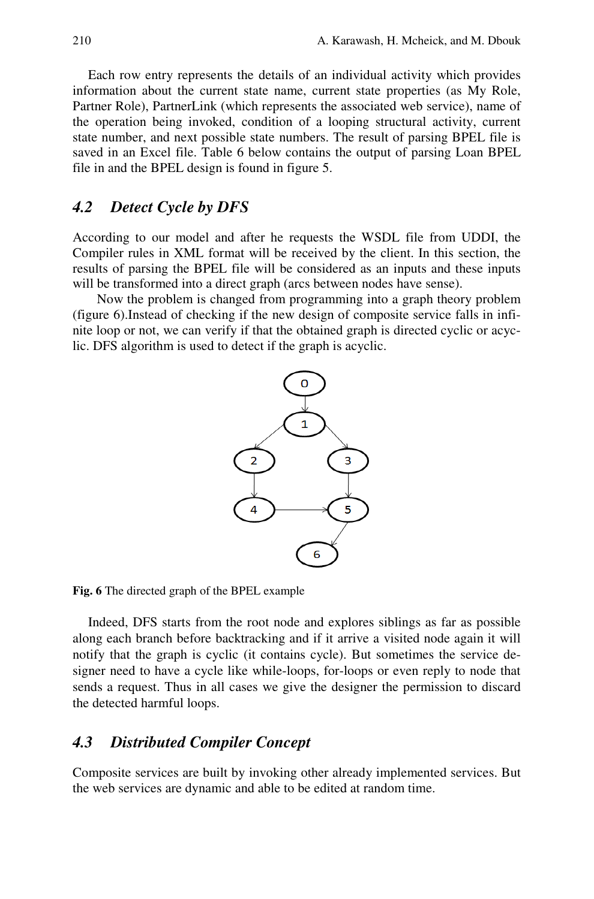Each row entry represents the details of an individual activity which provides information about the current state name, current state properties (as My Role, Partner Role), PartnerLink (which represents the associated web service), name of the operation being invoked, condition of a looping structural activity, current state number, and next possible state numbers. The result of parsing BPEL file is saved in an Excel file. Table 6 below contains the output of parsing Loan BPEL file in and the BPEL design is found in figure 5.

#### *4.2 Detect Cycle by DFS*

According to our model and after he requests the WSDL file from UDDI, the Compiler rules in XML format will be received by the client. In this section, the results of parsing the BPEL file will be considered as an inputs and these inputs will be transformed into a direct graph (arcs between nodes have sense).

Now the problem is changed from programming into a graph theory problem (figure 6).Instead of checking if the new design of composite service falls in infinite loop or not, we can verify if that the obtained graph is directed cyclic or acyclic. DFS algorithm is used to detect if the graph is acyclic.



**Fig. 6** The directed graph of the BPEL example

Indeed, DFS starts from the root node and explores siblings as far as possible along each branch before backtracking and if it arrive a visited node again it will notify that the graph is cyclic (it contains cycle). But sometimes the service designer need to have a cycle like while-loops, for-loops or even reply to node that sends a request. Thus in all cases we give the designer the permission to discard the detected harmful loops.

# *4.3 Distributed Compiler Concept*

Composite services are built by invoking other already implemented services. But the web services are dynamic and able to be edited at random time.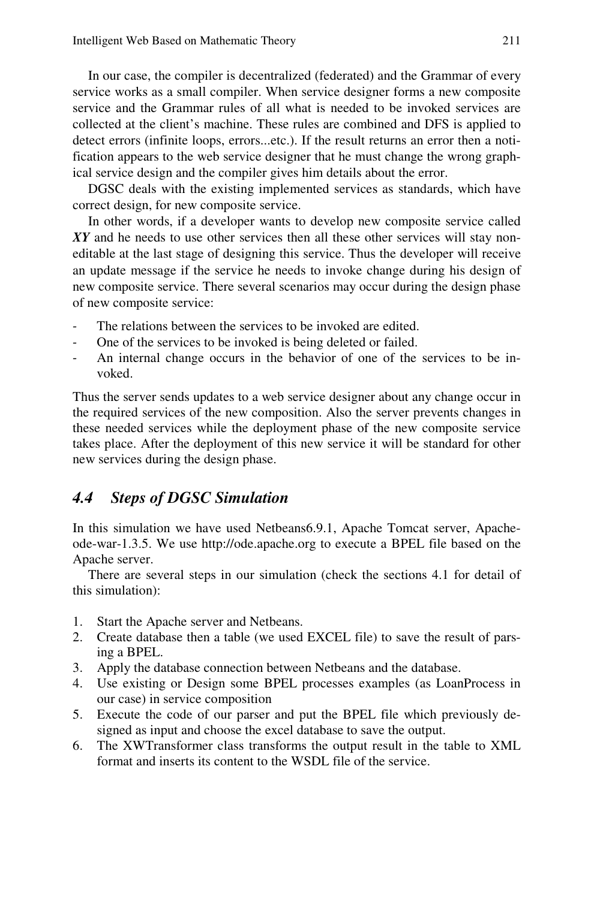In our case, the compiler is decentralized (federated) and the Grammar of every service works as a small compiler. When service designer forms a new composite service and the Grammar rules of all what is needed to be invoked services are collected at the client's machine. These rules are combined and DFS is applied to detect errors (infinite loops, errors...etc.). If the result returns an error then a notification appears to the web service designer that he must change the wrong graphical service design and the compiler gives him details about the error.

DGSC deals with the existing implemented services as standards, which have correct design, for new composite service.

In other words, if a developer wants to develop new composite service called *XY* and he needs to use other services then all these other services will stay noneditable at the last stage of designing this service. Thus the developer will receive an update message if the service he needs to invoke change during his design of new composite service. There several scenarios may occur during the design phase of new composite service:

- The relations between the services to be invoked are edited.
- *-* One of the services to be invoked is being deleted or failed.
- *-* An internal change occurs in the behavior of one of the services to be invoked.

Thus the server sends updates to a web service designer about any change occur in the required services of the new composition. Also the server prevents changes in these needed services while the deployment phase of the new composite service takes place. After the deployment of this new service it will be standard for other new services during the design phase.

## *4.4 Steps of DGSC Simulation*

In this simulation we have used Netbeans6.9.1, Apache Tomcat server, Apacheode-war-1.3.5. We use http://ode.apache.org to execute a BPEL file based on the Apache server.

There are several steps in our simulation (check the sections 4.1 for detail of this simulation):

- 1. Start the Apache server and Netbeans.
- 2. Create database then a table (we used EXCEL file) to save the result of parsing a BPEL.
- 3. Apply the database connection between Netbeans and the database.
- 4. Use existing or Design some BPEL processes examples (as LoanProcess in our case) in service composition
- 5. Execute the code of our parser and put the BPEL file which previously designed as input and choose the excel database to save the output.
- 6. The XWTransformer class transforms the output result in the table to XML format and inserts its content to the WSDL file of the service.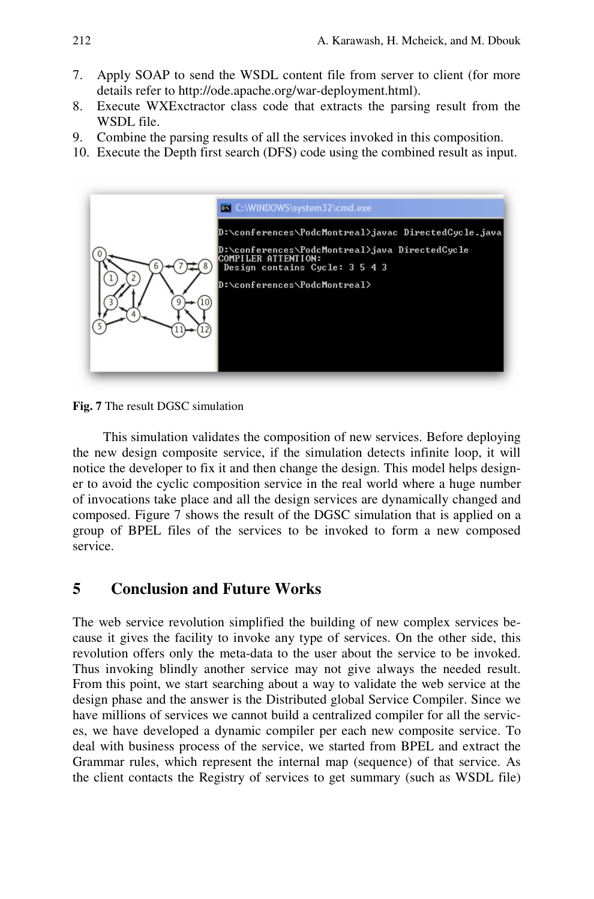- 7. Apply SOAP to send the WSDL content file from server to client (for more details refer to http://ode.apache.org/war-deployment.html).
- 8. Execute WXExctractor class code that extracts the parsing result from the WSDL file.
- 9. Combine the parsing results of all the services invoked in this composition.
- 10. Execute the Depth first search (DFS) code using the combined result as input.



**Fig. 7** The result DGSC simulation

This simulation validates the composition of new services. Before deploying the new design composite service, if the simulation detects infinite loop, it will notice the developer to fix it and then change the design. This model helps designer to avoid the cyclic composition service in the real world where a huge number of invocations take place and all the design services are dynamically changed and composed. Figure 7 shows the result of the DGSC simulation that is applied on a group of BPEL files of the services to be invoked to form a new composed service.

# **5 Conclusion and Future Works**

The web service revolution simplified the building of new complex services because it gives the facility to invoke any type of services. On the other side, this revolution offers only the meta-data to the user about the service to be invoked. Thus invoking blindly another service may not give always the needed result. From this point, we start searching about a way to validate the web service at the design phase and the answer is the Distributed global Service Compiler. Since we have millions of services we cannot build a centralized compiler for all the services, we have developed a dynamic compiler per each new composite service. To deal with business process of the service, we started from BPEL and extract the Grammar rules, which represent the internal map (sequence) of that service. As the client contacts the Registry of services to get summary (such as WSDL file)